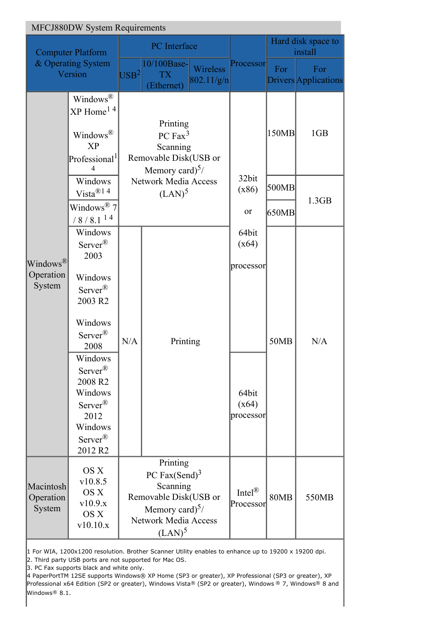| <b>MFCJ880DW System Requirements</b>                      |                                                                                                                                                                                                                                                                                           |                                                                                                                                                       |                                                                                           |                                   |                                                            |                               |                                    |
|-----------------------------------------------------------|-------------------------------------------------------------------------------------------------------------------------------------------------------------------------------------------------------------------------------------------------------------------------------------------|-------------------------------------------------------------------------------------------------------------------------------------------------------|-------------------------------------------------------------------------------------------|-----------------------------------|------------------------------------------------------------|-------------------------------|------------------------------------|
| <b>Computer Platform</b><br>& Operating System<br>Version |                                                                                                                                                                                                                                                                                           | PC Interface                                                                                                                                          |                                                                                           |                                   |                                                            | Hard disk space to<br>install |                                    |
|                                                           |                                                                                                                                                                                                                                                                                           | $ {{\rm USB}}^2 $                                                                                                                                     | 10/100Base-<br><b>TX</b><br>(Ethernet)                                                    | Wireless<br>802.11/g/n            | Processor                                                  | For                           | For<br><b>Drivers</b> Applications |
| Windows <sup>®</sup><br>Operation<br>System               | Windows <sup>®</sup><br>$XP$ Home <sup>14</sup><br>Windows®<br><b>XP</b><br>Professional <sup>1</sup><br>4                                                                                                                                                                                |                                                                                                                                                       | Printing<br>PC Fax <sup>3</sup><br>Scanning<br>Removable Disk(USB or<br>Memory card) $5/$ |                                   |                                                            | 150MB                         | 1GB                                |
|                                                           | Windows<br>Vista <sup>®14</sup>                                                                                                                                                                                                                                                           | <b>Network Media Access</b><br>(LAN) <sup>5</sup>                                                                                                     |                                                                                           |                                   | 32bit<br>(x86)                                             | 500MB                         | 1.3GB                              |
|                                                           | Windows $^{\circledR}$ 7<br>$/8/8.1^{14}$                                                                                                                                                                                                                                                 |                                                                                                                                                       |                                                                                           |                                   | or                                                         | 650MB                         |                                    |
|                                                           | Windows<br>Server <sup>®</sup><br>2003<br>Windows<br>Server $\mathbb{R}$<br>2003 R2<br>Windows<br>Server <sup>®</sup><br>2008<br>Windows<br>Server <sup>®</sup><br>2008 R <sub>2</sub><br>Windows<br>Server <sup>®</sup><br>2012<br>Windows<br>Server <sup>®</sup><br>2012 R <sub>2</sub> | N/A                                                                                                                                                   | Printing                                                                                  |                                   | 64bit<br>(x64)<br>processor<br>64bit<br>(x64)<br>processor | 50MB                          | N/A                                |
| Macintosh<br>Operation<br>System                          | OS X<br>v10.8.5<br>OS X<br>v10.9.x<br>OS X<br>v10.10.x                                                                                                                                                                                                                                    | Printing<br>PC Fax $(Send)^3$<br>Scanning<br>Removable Disk(USB or<br>Memory card) $\frac{5}{4}$<br><b>Network Media Access</b><br>(LAN) <sup>5</sup> |                                                                                           | Intel $^{\circledR}$<br>Processor | <b>80MB</b>                                                | 550MB                         |                                    |

1 For WIA, 1200x1200 resolution. Brother Scanner Utility enables to enhance up to 19200 x 19200 dpi.

2. Third party USB ports are not supported for Mac OS.

3. PC Fax supports black and white only.

4 PaperPortTM 12SE supports Windows® XP Home (SP3 or greater), XP Professional (SP3 or greater), XP Professional x64 Edition (SP2 or greater), Windows Vista® (SP2 or greater), Windows ® 7, Windows® 8 and Windows<sup>®</sup> 8.1.